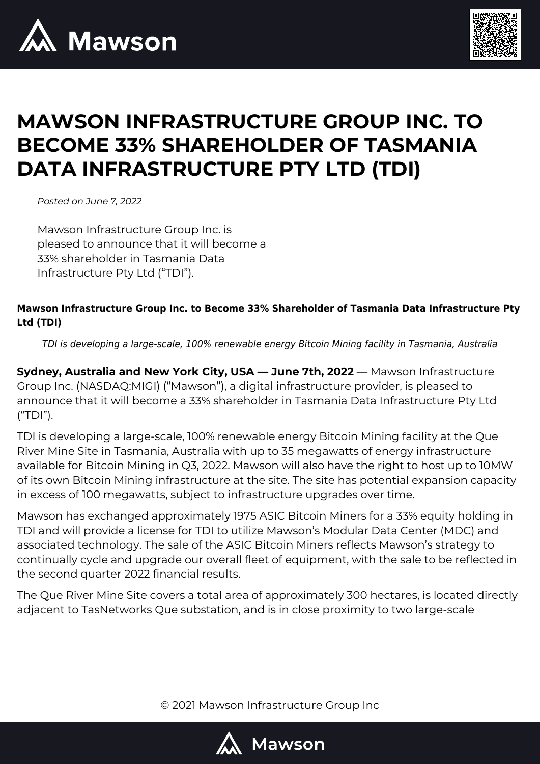



# **MAWSON INFRASTRUCTURE GROUP INC. TO BECOME 33% SHAREHOLDER OF TASMANIA DATA INFRASTRUCTURE PTY LTD (TDI)**

*Posted on June 7, 2022*

Mawson Infrastructure Group Inc. is pleased to announce that it will become a 33% shareholder in Tasmania Data Infrastructure Pty Ltd ("TDI").

## **Mawson Infrastructure Group Inc. to Become 33% Shareholder of Tasmania Data Infrastructure Pty Ltd (TDI)**

TDI is developing a large-scale, 100% renewable energy Bitcoin Mining facility in Tasmania, Australia

**Sydney, Australia and New York City, USA — June 7th, 2022** — Mawson Infrastructure Group Inc. (NASDAQ:MIGI) ("Mawson"), a digital infrastructure provider, is pleased to announce that it will become a 33% shareholder in Tasmania Data Infrastructure Pty Ltd ("TDI").

TDI is developing a large-scale, 100% renewable energy Bitcoin Mining facility at the Que River Mine Site in Tasmania, Australia with up to 35 megawatts of energy infrastructure available for Bitcoin Mining in Q3, 2022. Mawson will also have the right to host up to 10MW of its own Bitcoin Mining infrastructure at the site. The site has potential expansion capacity in excess of 100 megawatts, subject to infrastructure upgrades over time.

Mawson has exchanged approximately 1975 ASIC Bitcoin Miners for a 33% equity holding in TDI and will provide a license for TDI to utilize Mawson's Modular Data Center (MDC) and associated technology. The sale of the ASIC Bitcoin Miners reflects Mawson's strategy to continually cycle and upgrade our overall fleet of equipment, with the sale to be reflected in the second quarter 2022 financial results.

The Que River Mine Site covers a total area of approximately 300 hectares, is located directly adjacent to TasNetworks Que substation, and is in close proximity to two large-scale

© 2021 Mawson Infrastructure Group Inc

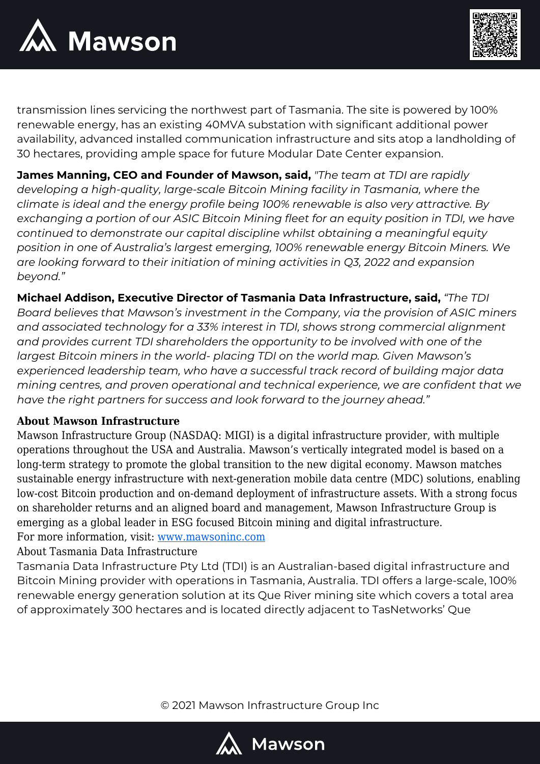



transmission lines servicing the northwest part of Tasmania. The site is powered by 100% renewable energy, has an existing 40MVA substation with significant additional power availability, advanced installed communication infrastructure and sits atop a landholding of 30 hectares, providing ample space for future Modular Date Center expansion.

**James Manning, CEO and Founder of Mawson, said,** *"The team at TDI are rapidly developing a high-quality, large-scale Bitcoin Mining facility in Tasmania, where the climate is ideal and the energy profile being 100% renewable is also very attractive. By exchanging a portion of our ASIC Bitcoin Mining fleet for an equity position in TDI, we have continued to demonstrate our capital discipline whilst obtaining a meaningful equity position in one of Australia's largest emerging, 100% renewable energy Bitcoin Miners. We are looking forward to their initiation of mining activities in Q3, 2022 and expansion beyond."*

**Michael Addison, Executive Director of Tasmania Data Infrastructure, said,** *"The TDI*

*Board believes that Mawson's investment in the Company, via the provision of ASIC miners and associated technology for a 33% interest in TDI, shows strong commercial alignment and provides current TDI shareholders the opportunity to be involved with one of the largest Bitcoin miners in the world- placing TDI on the world map. Given Mawson's experienced leadership team, who have a successful track record of building major data mining centres, and proven operational and technical experience, we are confident that we have the right partners for success and look forward to the journey ahead."*

### **About Mawson Infrastructure**

Mawson Infrastructure Group (NASDAQ: MIGI) is a digital infrastructure provider, with multiple operations throughout the USA and Australia. Mawson's vertically integrated model is based on a long-term strategy to promote the global transition to the new digital economy. Mawson matches sustainable energy infrastructure with next-generation mobile data centre (MDC) solutions, enabling low-cost Bitcoin production and on-demand deployment of infrastructure assets. With a strong focus on shareholder returns and an aligned board and management, Mawson Infrastructure Group is emerging as a global leader in ESG focused Bitcoin mining and digital infrastructure. For more information, visit: [www.mawsoninc.com](http://www.mawsoninc.com)

About Tasmania Data Infrastructure

Tasmania Data Infrastructure Pty Ltd (TDI) is an Australian-based digital infrastructure and Bitcoin Mining provider with operations in Tasmania, Australia. TDI offers a large-scale, 100% renewable energy generation solution at its Que River mining site which covers a total area of approximately 300 hectares and is located directly adjacent to TasNetworks' Que

© 2021 Mawson Infrastructure Group Inc